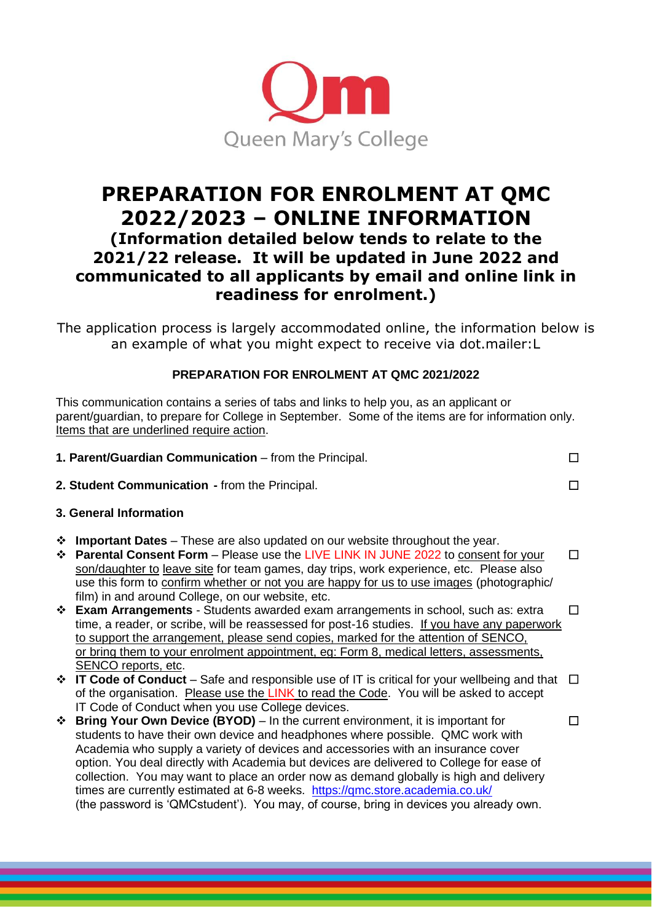

# **PREPARATION FOR ENROLMENT AT QMC 2022/2023 – ONLINE INFORMATION (Information detailed below tends to relate to the 2021/22 release. It will be updated in June 2022 and communicated to all applicants by email and online link in**

## **readiness for enrolment.)**

The application process is largely accommodated online, the information below is an example of what you might expect to receive via dot.mailer:L

### **PREPARATION FOR ENROLMENT AT QMC 2021/2022**

This communication contains a series of tabs and links to help you, as an applicant or parent/guardian, to prepare for College in September. Some of the items are for information only. Items that are underlined require action.

|                        | 1. Parent/Guardian Communication - from the Principal.                                                                                                                                                                                                                                                                                                                                                                                                                                                                                                                                                                                                                                                                                                                                                               |                   |
|------------------------|----------------------------------------------------------------------------------------------------------------------------------------------------------------------------------------------------------------------------------------------------------------------------------------------------------------------------------------------------------------------------------------------------------------------------------------------------------------------------------------------------------------------------------------------------------------------------------------------------------------------------------------------------------------------------------------------------------------------------------------------------------------------------------------------------------------------|-------------------|
|                        | 2. Student Communication - from the Principal.                                                                                                                                                                                                                                                                                                                                                                                                                                                                                                                                                                                                                                                                                                                                                                       |                   |
| 3. General Information |                                                                                                                                                                                                                                                                                                                                                                                                                                                                                                                                                                                                                                                                                                                                                                                                                      |                   |
| ❖                      | <b>Important Dates</b> – These are also updated on our website throughout the year.<br>❖ Parental Consent Form – Please use the LIVE LINK IN JUNE 2022 to consent for your<br>son/daughter to leave site for team games, day trips, work experience, etc. Please also<br>use this form to confirm whether or not you are happy for us to use images (photographic/<br>film) in and around College, on our website, etc.<br>❖ Exam Arrangements - Students awarded exam arrangements in school, such as: extra<br>time, a reader, or scribe, will be reassessed for post-16 studies. If you have any paperwork<br>to support the arrangement, please send copies, marked for the attention of SENCO,<br>or bring them to your enrolment appointment, eg: Form 8, medical letters, assessments,<br>SENCO reports, etc. | П<br>$\mathsf{L}$ |
|                        | $\div$ IT Code of Conduct – Safe and responsible use of IT is critical for your wellbeing and that $\Box$<br>of the organisation. Please use the LINK to read the Code. You will be asked to accept<br>IT Code of Conduct when you use College devices.                                                                                                                                                                                                                                                                                                                                                                                                                                                                                                                                                              |                   |
|                        | <b> <math>\div</math> Bring Your Own Device (BYOD)</b> – In the current environment, it is important for<br>students to have their own device and headphones where possible. QMC work with<br>Academia who supply a variety of devices and accessories with an insurance cover                                                                                                                                                                                                                                                                                                                                                                                                                                                                                                                                       |                   |

option. You deal directly with Academia but devices are delivered to College for ease of collection. You may want to place an order now as demand globally is high and delivery

(the password is 'QMCstudent'). You may, of course, bring in devices you already own.

times are currently estimated at 6-8 weeks. <https://qmc.store.academia.co.uk/>